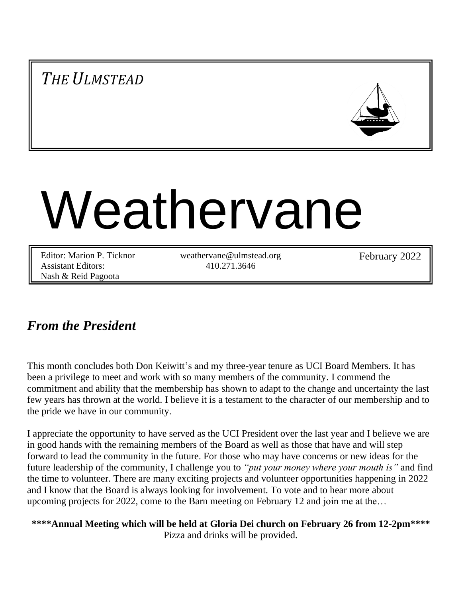*THE ULMSTEAD*



# Weathervane

Editor: Marion P. Ticknor Assistant Editors: Nash & Reid Pagoota

weathervane@ulmstead.org 410.271.3646

February 2022

## *From the President*

This month concludes both Don Keiwitt's and my three-year tenure as UCI Board Members. It has been a privilege to meet and work with so many members of the community. I commend the commitment and ability that the membership has shown to adapt to the change and uncertainty the last few years has thrown at the world. I believe it is a testament to the character of our membership and to the pride we have in our community.

I appreciate the opportunity to have served as the UCI President over the last year and I believe we are in good hands with the remaining members of the Board as well as those that have and will step forward to lead the community in the future. For those who may have concerns or new ideas for the future leadership of the community, I challenge you to *"put your money where your mouth is"* and find the time to volunteer. There are many exciting projects and volunteer opportunities happening in 2022 and I know that the Board is always looking for involvement. To vote and to hear more about upcoming projects for 2022, come to the Barn meeting on February 12 and join me at the…

**\*\*\*\*Annual Meeting which will be held at Gloria Dei church on February 26 from 12-2pm\*\*\*\*** Pizza and drinks will be provided.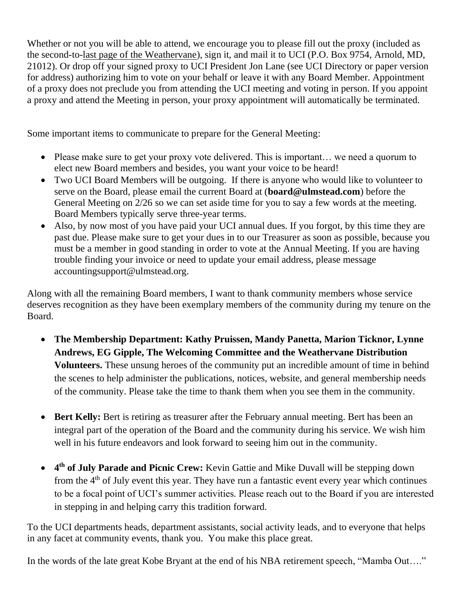Whether or not you will be able to attend, we encourage you to please fill out the proxy (included as the second-to-last page of the Weathervane), sign it, and mail it to UCI (P.O. Box 9754, Arnold, MD, 21012). Or drop off your signed proxy to UCI President Jon Lane (see UCI Directory or paper version for address) authorizing him to vote on your behalf or leave it with any Board Member. Appointment of a proxy does not preclude you from attending the UCI meeting and voting in person. If you appoint a proxy and attend the Meeting in person, your proxy appointment will automatically be terminated.

Some important items to communicate to prepare for the General Meeting:

- Please make sure to get your proxy vote delivered. This is important... we need a quorum to elect new Board members and besides, you want your voice to be heard!
- Two UCI Board Members will be outgoing. If there is anyone who would like to volunteer to serve on the Board, please email the current Board at (**board@ulmstead.com**) before the General Meeting on 2/26 so we can set aside time for you to say a few words at the meeting. Board Members typically serve three-year terms.
- Also, by now most of you have paid your UCI annual dues. If you forgot, by this time they are past due. Please make sure to get your dues in to our Treasurer as soon as possible, because you must be a member in good standing in order to vote at the Annual Meeting. If you are having trouble finding your invoice or need to update your email address, please message accountingsupport@ulmstead.org.

Along with all the remaining Board members, I want to thank community members whose service deserves recognition as they have been exemplary members of the community during my tenure on the Board.

- **The Membership Department: Kathy Pruissen, Mandy Panetta, Marion Ticknor, Lynne Andrews, EG Gipple, The Welcoming Committee and the Weathervane Distribution Volunteers.** These unsung heroes of the community put an incredible amount of time in behind the scenes to help administer the publications, notices, website, and general membership needs of the community. Please take the time to thank them when you see them in the community.
- **Bert Kelly:** Bert is retiring as treasurer after the February annual meeting. Bert has been an integral part of the operation of the Board and the community during his service. We wish him well in his future endeavors and look forward to seeing him out in the community.
- 4<sup>th</sup> of July Parade and Picnic Crew: Kevin Gattie and Mike Duvall will be stepping down from the  $4<sup>th</sup>$  of July event this year. They have run a fantastic event every year which continues to be a focal point of UCI's summer activities. Please reach out to the Board if you are interested in stepping in and helping carry this tradition forward.

To the UCI departments heads, department assistants, social activity leads, and to everyone that helps in any facet at community events, thank you. You make this place great.

In the words of the late great Kobe Bryant at the end of his NBA retirement speech, "Mamba Out…."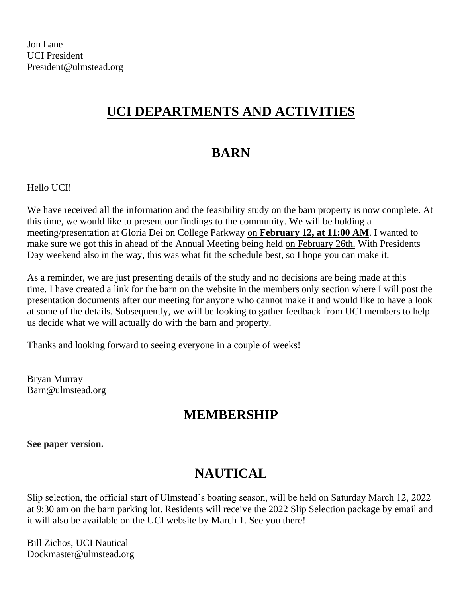# **UCI DEPARTMENTS AND ACTIVITIES**

# **BARN**

Hello UCI!

We have received all the information and the feasibility study on the barn property is now complete. At this time, we would like to present our findings to the community. We will be holding a meeting/presentation at Gloria Dei on College Parkway on **February 12, at 11:00 AM**. I wanted to make sure we got this in ahead of the Annual Meeting being held on February 26th. With Presidents Day weekend also in the way, this was what fit the schedule best, so I hope you can make it.

As a reminder, we are just presenting details of the study and no decisions are being made at this time. I have created a link for the barn on the website in the members only section where I will post the presentation documents after our meeting for anyone who cannot make it and would like to have a look at some of the details. Subsequently, we will be looking to gather feedback from UCI members to help us decide what we will actually do with the barn and property.

Thanks and looking forward to seeing everyone in a couple of weeks!

Bryan Murray Barn@ulmstead.org

## **MEMBERSHIP**

**See paper version.**

# **NAUTICAL**

Slip selection, the official start of Ulmstead's boating season, will be held on Saturday March 12, 2022 at 9:30 am on the barn parking lot. Residents will receive the 2022 Slip Selection package by email and it will also be available on the UCI website by March 1. See you there!

Bill Zichos, UCI Nautical Dockmaster@ulmstead.org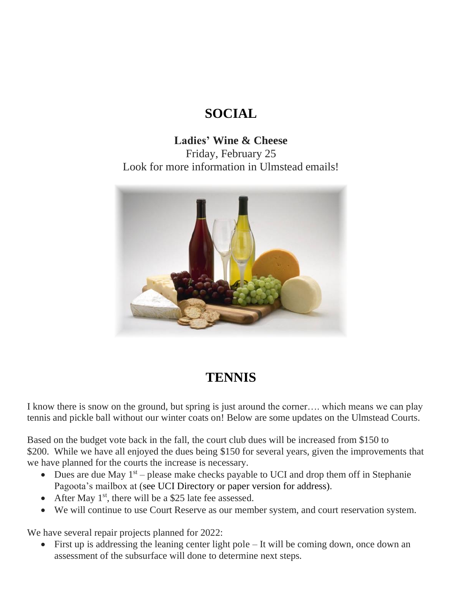# **SOCIAL**

**Ladies' Wine & Cheese** Friday, February 25 Look for more information in Ulmstead emails!



## **TENNIS**

I know there is snow on the ground, but spring is just around the corner…. which means we can play tennis and pickle ball without our winter coats on! Below are some updates on the Ulmstead Courts.

Based on the budget vote back in the fall, the court club dues will be increased from \$150 to \$200. While we have all enjoyed the dues being \$150 for several years, given the improvements that we have planned for the courts the increase is necessary.

- Dues are due May  $1<sup>st</sup>$  please make checks payable to UCI and drop them off in Stephanie Pagoota's mailbox at (see UCI Directory or paper version for address).
- After May  $1<sup>st</sup>$ , there will be a \$25 late fee assessed.
- We will continue to use Court Reserve as our member system, and court reservation system.

We have several repair projects planned for 2022:

• First up is addressing the leaning center light pole – It will be coming down, once down an assessment of the subsurface will done to determine next steps.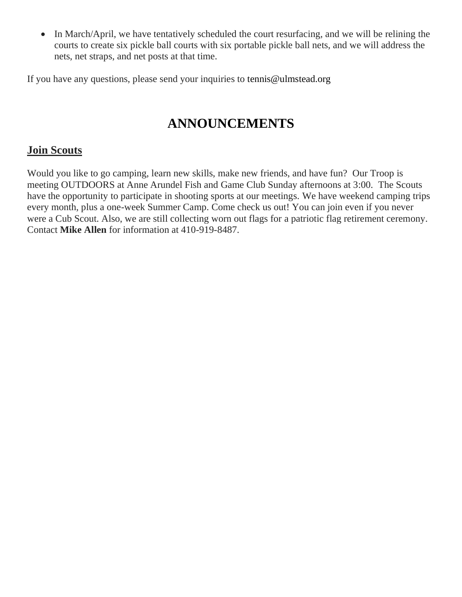• In March/April, we have tentatively scheduled the court resurfacing, and we will be relining the courts to create six pickle ball courts with six portable pickle ball nets, and we will address the nets, net straps, and net posts at that time.

If you have any questions, please send your inquiries to tennis@ulmstead.org

# **ANNOUNCEMENTS**

## **Join Scouts**

Would you like to go camping, learn new skills, make new friends, and have fun? Our Troop is meeting OUTDOORS at Anne Arundel Fish and Game Club Sunday afternoons at 3:00. The Scouts have the opportunity to participate in shooting sports at our meetings. We have weekend camping trips every month, plus a one-week Summer Camp. Come check us out! You can join even if you never were a Cub Scout. Also, we are still collecting worn out flags for a patriotic flag retirement ceremony. Contact **Mike Allen** for information at 410-919-8487.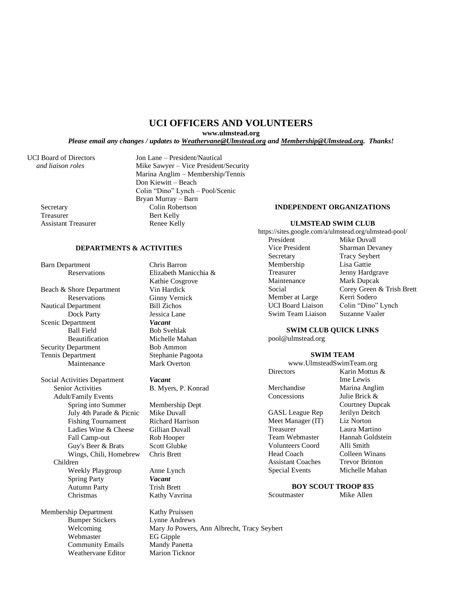## **UCI OFFICERS AND VOLUNTEERS**

**www.ulmstead.org**

*Please email any changes / updates to Weathervane@Ulmstead.org and Membership@Ulmstead.org. Thanks!*

Treasurer Bert Kelly Assistant Treasurer Renee Kelly

UCI Board of Directors Jon Lane – President/Nautical  *and liaison roles* Mike Sawyer – Vice President/Security Marina Anglim – Membership/Tennis Don Kiewitt – Beach Colin "Dino" Lynch – Pool/Scenic Bryan Murray – Barn Secretary Colin Robertson

## **DEPARTMENTS & ACTIVITIES**

Barn Department Chris Barron

Beach & Shore Department Vin Hardick Reservations Ginny Vernick<br>
Denartment Bill Zichos Nautical Department Dock Party Jessica Lane Scenic Department *Vacant* Ball Field Bob Svehlak Beautification Michelle Mahan Security Department Bob Ammon Tennis Department Stephanie Pagoota Maintenance Mark Overton

Social Activities Department *Vacant* Senior Activities B. Myers, P. Konrad Adult/Family Events Spring into Summer Membership Dept<br>July 4th Parade & Picnic Mike Duyall July 4th Parade & Picnic Mike Duvall Fishing Tournament Ladies Wine & Cheese Gillian Duvall Fall Camp-out Rob Hooper Guy's Beer & Brats Scott Glubke Wings, Chili, Homebrew Chris Brett Children Weekly Playgroup Anne Lynch Spring Party *Vacant* Autumn Party<br>
Christmas<br>
Kathy Vavr

Membership Department Kathy Pruissen Bumper Stickers Lynne Andrews<br>Welcoming Mary Jo Powers, Webmaster **EG Gipple Community Emails** Mandy Panetta<br>
Weathervane Editor Marion Ticknor Weathervane Editor

Reservations Elizabeth Manicchia & Kathie Cosgrove

Kathy Vavrina

Mary Jo Powers, Ann Albrecht, Tracy Seybert

#### **INDEPENDENT ORGANIZATIONS**

#### **ULMSTEAD SWIM CLUB**

https://sites.google.com/a/ulmstead.org/ulmstead-pool/

President Mike Duvall Vice President Sharman Devaney Secretary Tracy Seybert Membership Lisa Gattie Treasurer Jenny Hardgrave Maintenance Mark Dupcak Social Corey Green & Trish Brett<br>
Member at Large Kerri Sodero Member at Large UCI Board Liaison Colin "Dino" Lynch<br>Swim Team Liaison Suzanne Vaaler Swim Team Liaison

#### **SWIM CLUB QUICK LINKS**

pool@ulmstead.org

### **SWIM TEAM**

www.UlmsteadSwimTeam.org Directors Karin Mottus & Ime Lewis Merchandise Marina Anglim Concessions Julie Brick & GASL League Rep Jerilyn Deitch Meet Manager (IT) Liz Norton Treasurer Laura Martino

Team Webmaster Hannah Goldstein Volunteers Coord Alli Smith Head Coach Colleen Winans Assistant Coaches Trevor Brinton Special Events Michelle Mahan

Courtney Dupcak

## **BOY SCOUT TROOP 835**

Scoutmaster Mike Allen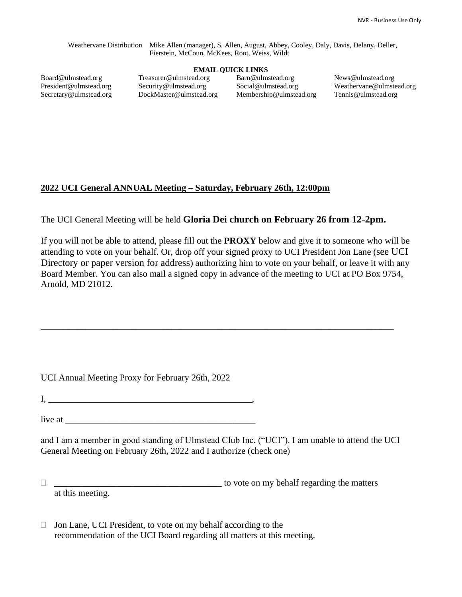Weathervane Distribution Mike Allen (manager), S. Allen, August, Abbey, Cooley, Daly, Davis, Delany, Deller, Fierstein, McCoun, McKees, Root, Weiss, Wildt

## **EMAIL QUICK LINKS**

Board@ulmstead.org President@ulmstead.org Secretary@ulmstead.org Treasurer@ulmstead.org Security@ulmstead.org DockMaster@ulmstead.org Barn@ulmstead.org Social@ulmstead.org Membership@ulmstead.org

News@ulmstead.org Weathervane@ulmstead.org Tennis@ulmstead.org

## **2022 UCI General ANNUAL Meeting – Saturday, February 26th, 12:00pm**

The UCI General Meeting will be held **Gloria Dei church on February 26 from 12-2pm.**

If you will not be able to attend, please fill out the **PROXY** below and give it to someone who will be attending to vote on your behalf. Or, drop off your signed proxy to UCI President Jon Lane (see UCI Directory or paper version for address) authorizing him to vote on your behalf, or leave it with any Board Member. You can also mail a signed copy in advance of the meeting to UCI at PO Box 9754, Arnold, MD 21012.

**\_\_\_\_\_\_\_\_\_\_\_\_\_\_\_\_\_\_\_\_\_\_\_\_\_\_\_\_\_\_\_\_\_\_\_\_\_\_\_\_\_\_\_\_\_\_\_\_\_\_\_\_\_\_\_\_\_\_\_\_\_\_\_\_\_\_\_\_\_\_\_\_\_\_\_\_\_\_**

UCI Annual Meeting Proxy for February 26th, 2022

 $I, \_\_$ 

live at  $\Box$ 

and I am a member in good standing of Ulmstead Club Inc. ("UCI"). I am unable to attend the UCI General Meeting on February 26th, 2022 and I authorize (check one)

 $\Box$ at this meeting.

 $\Box$  Jon Lane, UCI President, to vote on my behalf according to the recommendation of the UCI Board regarding all matters at this meeting.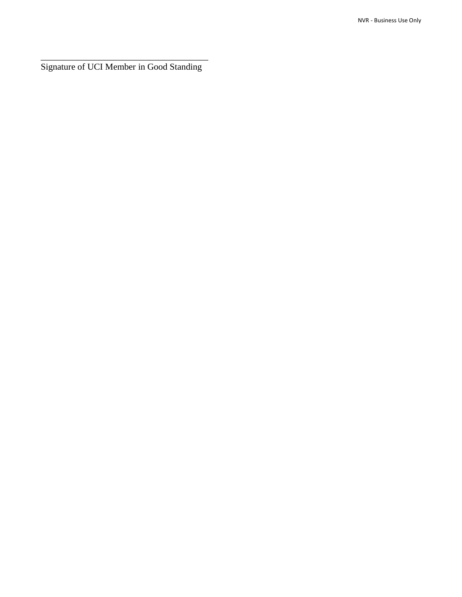\_\_\_\_\_\_\_\_\_\_\_\_\_\_\_\_\_\_\_\_\_\_\_\_\_\_\_\_\_\_\_\_\_\_\_\_\_ Signature of UCI Member in Good Standing